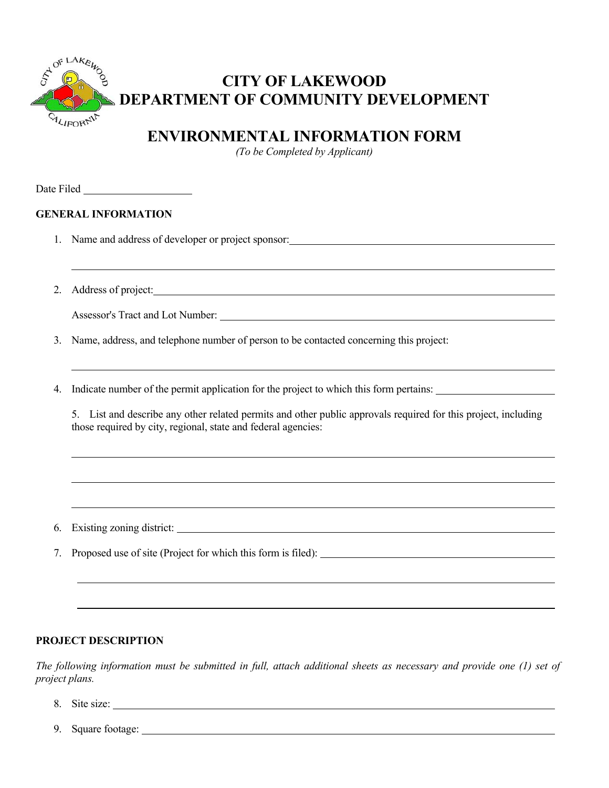

# **CITY OF LAKEWOOD DEPARTMENT OF COMMUNITY DEVELOPMENT**

## **ENVIRONMENTAL INFORMATION FORM**

*(To be Completed by Applicant)*

Date Filed

 $\overline{a}$ 

l

 $\overline{a}$ 

 $\overline{a}$ 

### **GENERAL INFORMATION**

- 1. Name and address of developer or project sponsor:
- 2. Address of project:

Assessor's Tract and Lot Number:

3. Name, address, and telephone number of person to be contacted concerning this project:

4. Indicate number of the permit application for the project to which this form pertains:

5. List and describe any other related permits and other public approvals required for this project, including those required by city, regional, state and federal agencies:

6. Existing zoning district:

7. Proposed use of site (Project for which this form is filed):

#### **PROJECT DESCRIPTION**

*The following information must be submitted in full, attach additional sheets as necessary and provide one (1) set of project plans.*

- 8. Site size:
- 9. Square footage: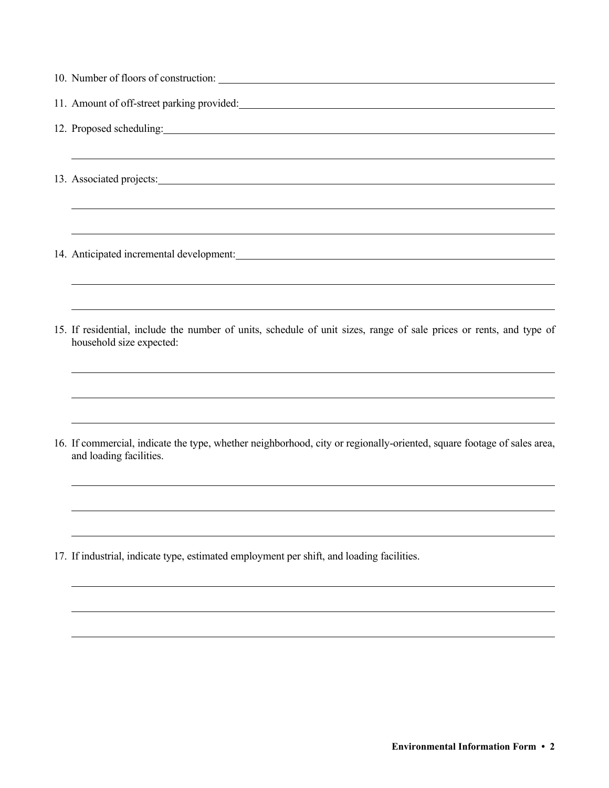| 12. Proposed scheduling: 12. Proposed scheduling:                                                                                                                                                                                   |
|-------------------------------------------------------------------------------------------------------------------------------------------------------------------------------------------------------------------------------------|
| ,我们也不会有什么。""我们的人,我们也不会有什么?""我们的人,我们也不会有什么?""我们的人,我们也不会有什么?""我们的人,我们也不会有什么?""我们的人                                                                                                                                                    |
| 13. Associated projects: <u>contained</u> and a series of the series of the series of the series of the series of the series of the series of the series of the series of the series of the series of the series of the series of t |
|                                                                                                                                                                                                                                     |
| ,我们也不会有什么。""我们的人,我们也不会有什么?""我们的人,我们也不会有什么?""我们的人,我们也不会有什么?""我们的人,我们也不会有什么?""我们的人<br>14. Anticipated incremental development: Manual Anticipated incremental development:                                                            |
| ,我们也不会有什么。""我们的人,我们也不会有什么?""我们的人,我们也不会有什么?""我们的人,我们也不会有什么?""我们的人,我们也不会有什么?""我们的人<br>,我们也不会有什么。""我们的人,我们也不会有什么?""我们的人,我们也不会有什么?""我们的人,我们也不会有什么?""我们的人,我们也不会有什么?""我们的人                                                                |
| 15. If residential, include the number of units, schedule of unit sizes, range of sale prices or rents, and type of<br>household size expected:                                                                                     |
|                                                                                                                                                                                                                                     |
| 16. If commercial, indicate the type, whether neighborhood, city or regionally-oriented, square footage of sales area,<br>and loading facilities.                                                                                   |
|                                                                                                                                                                                                                                     |
| 17. If industrial, indicate type, estimated employment per shift, and loading facilities.                                                                                                                                           |
|                                                                                                                                                                                                                                     |

 $\overline{a}$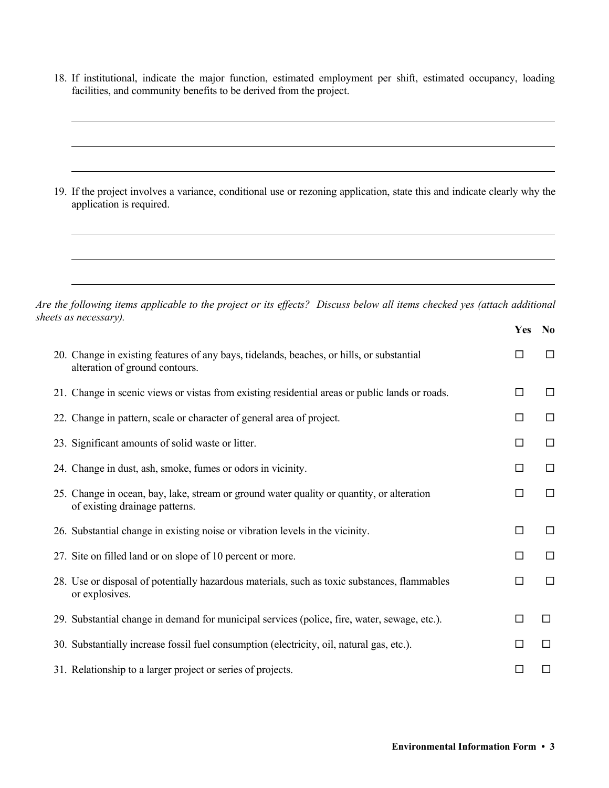18. If institutional, indicate the major function, estimated employment per shift, estimated occupancy, loading facilities, and community benefits to be derived from the project.

| 19. If the project involves a variance, conditional use or rezoning application, state this and indicate clearly why the<br>application is required. |
|------------------------------------------------------------------------------------------------------------------------------------------------------|
|                                                                                                                                                      |

*Are the following items applicable to the project or its effects? Discuss below all items checked yes (attach additional sheets as necessary).* 

|                                                                                                                             | Yes    | N <sub>0</sub> |
|-----------------------------------------------------------------------------------------------------------------------------|--------|----------------|
| 20. Change in existing features of any bays, tidelands, beaches, or hills, or substantial<br>alteration of ground contours. | □      | □              |
| 21. Change in scenic views or vistas from existing residential areas or public lands or roads.                              | □      | □              |
| 22. Change in pattern, scale or character of general area of project.                                                       | □      | $\Box$         |
| 23. Significant amounts of solid waste or litter.                                                                           | $\Box$ | □              |
| 24. Change in dust, ash, smoke, fumes or odors in vicinity.                                                                 | □      | □              |
| 25. Change in ocean, bay, lake, stream or ground water quality or quantity, or alteration<br>of existing drainage patterns. | $\Box$ | □              |
| 26. Substantial change in existing noise or vibration levels in the vicinity.                                               | $\Box$ | $\Box$         |
| 27. Site on filled land or on slope of 10 percent or more.                                                                  | $\Box$ | $\Box$         |
| 28. Use or disposal of potentially hazardous materials, such as toxic substances, flammables<br>or explosives.              | $\Box$ | $\Box$         |
| 29. Substantial change in demand for municipal services (police, fire, water, sewage, etc.).                                | □      | □              |
| 30. Substantially increase fossil fuel consumption (electricity, oil, natural gas, etc.).                                   | □      | □              |
| 31. Relationship to a larger project or series of projects.                                                                 |        | $\Box$         |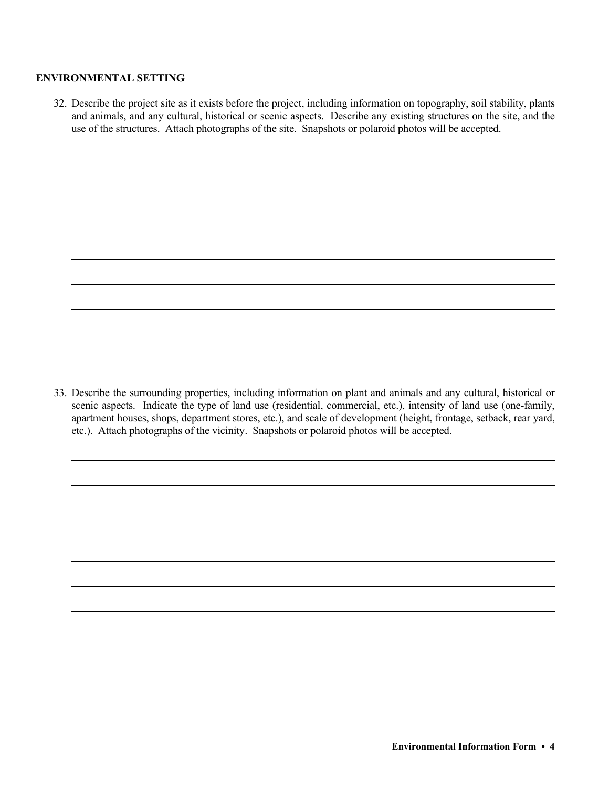#### **ENVIRONMENTAL SETTING**

 $\overline{a}$ 

 $\overline{a}$ 

 $\overline{a}$ 

 $\overline{a}$ 

 $\overline{a}$ 

 $\overline{a}$ 

 $\overline{a}$ 

 $\overline{a}$ 

32. Describe the project site as it exists before the project, including information on topography, soil stability, plants and animals, and any cultural, historical or scenic aspects. Describe any existing structures on the site, and the use of the structures. Attach photographs of the site. Snapshots or polaroid photos will be accepted.

33. Describe the surrounding properties, including information on plant and animals and any cultural, historical or scenic aspects. Indicate the type of land use (residential, commercial, etc.), intensity of land use (one-family, apartment houses, shops, department stores, etc.), and scale of development (height, frontage, setback, rear yard, etc.). Attach photographs of the vicinity. Snapshots or polaroid photos will be accepted.